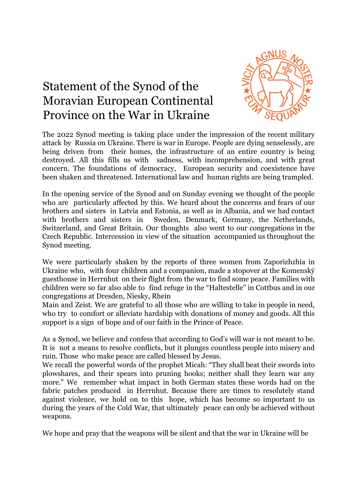## Statement of the Synod of the Moravian European Continental Province on the War in Ukraine



The 2022 Synod meeting is taking place under the impression of the recent military attack by Russia on Ukraine. There is war in Europe. People are dying senselessly, are being driven from their homes, the infrastructure of an entire country is being destroyed. All this fills us with sadness, with incomprehension, and with great concern. The foundations of democracy, European security and coexistence have been shaken and threatened. International law and human rights are being trampled.

In the opening service of the Synod and on Sunday evening we thought of the people who are particularly affected by this. We heard about the concerns and fears of our brothers and sisters in Latvia and Estonia, as well as in Albania, and we had contact with brothers and sisters in Sweden, Denmark, Germany, the Netherlands, Switzerland, and Great Britain. Our thoughts also went to our congregations in the Czech Republic. Intercession in view of the situation accompanied us throughout the Synod meeting.

We were particularly shaken by the reports of three women from Zaporizhzhia in Ukraine who, with four children and a companion, made a stopover at the Komenský guesthouse in Herrnhut on their flight from the war to find some peace. Families with children were so far also able to find refuge in the "Haltestelle" in Cottbus and in our congregations at Dresden, Niesky, Rhein

Main and Zeist. We are grateful to all those who are willing to take in people in need, who try to comfort or alleviate hardship with donations of money and goods. All this support is a sign of hope and of our faith in the Prince of Peace.

As a Synod, we believe and confess that according to God's will war is not meant to be. It is not a means to resolve conflicts, but it plunges countless people into misery and ruin. Those who make peace are called blessed by Jesus.

We recall the powerful words of the prophet Micah: "They shall beat their swords into plowshares, and their spears into pruning hooks; neither shall they learn war any more." We remember what impact in both German states these words had on the fabric patches produced in Herrnhut. Because there are times to resolutely stand against violence, we hold on to this hope, which has become so important to us during the years of the Cold War, that ultimately peace can only be achieved without weapons.

We hope and pray that the weapons will be silent and that the war in Ukraine will be